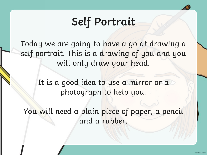## **Self Portrait**

Today we are going to have a go at drawing a self portrait. This is a drawing of you and you will only draw your head.

> It is a good idea to use a mirror or a photograph to help you.

You will need a plain piece of paper, a pencil and a rubber.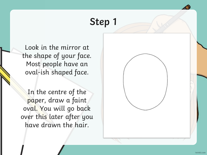Look in the mirror at the shape of your face. Most people have an oval-ish shaped face.

In the centre of the paper, draw a faint oval. You will go back over this later after you have drawn the hair.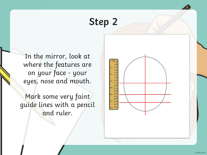In the mirror, look at where the features are on your face - your eyes, nose and mouth.

Mark some very faint guide lines with a pencil and ruler.

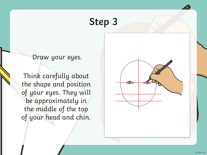Draw your eyes.

Think carefully about the shape and position of your eyes. They will be approximately in the middle of the top of your head and chin.

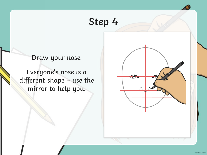Draw your nose.

Everyone's nose is a different shape – use the mirror to help you.

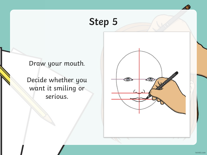Draw your mouth.

Decide whether you want it smiling or serious.

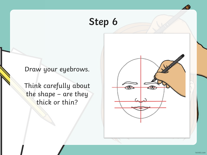#### Draw your eyebrows.

Think carefully about the shape – are they thick or thin?

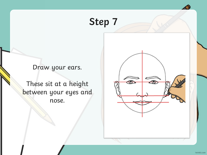Draw your ears.

These sit at a height between your eyes and nose.

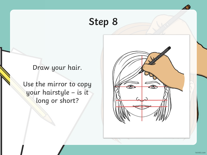#### Draw your hair.

Use the mirror to copy your hairstyle – is it long or short?

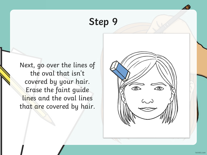Next, go over the lines of the oval that isn't covered by your hair. Erase the faint guide lines and the oval lines that are covered by hair.

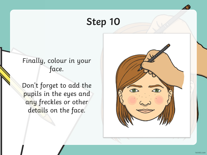#### Finally, colour in your face.

Don't forget to add the pupils in the eyes and any freckles or other details on the face.